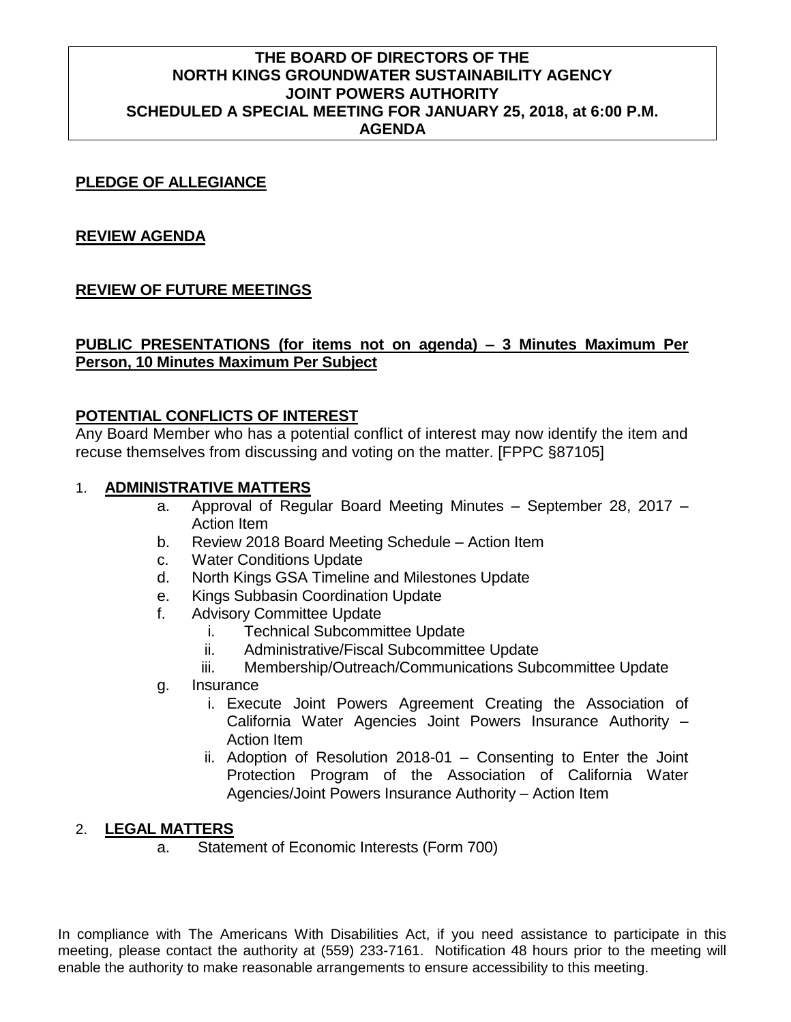# **THE BOARD OF DIRECTORS OF THE NORTH KINGS GROUNDWATER SUSTAINABILITY AGENCY JOINT POWERS AUTHORITY SCHEDULED A SPECIAL MEETING FOR JANUARY 25, 2018, at 6:00 P.M. AGENDA**

### **PLEDGE OF ALLEGIANCE**

#### **REVIEW AGENDA**

# **REVIEW OF FUTURE MEETINGS**

# **PUBLIC PRESENTATIONS (for items not on agenda) – 3 Minutes Maximum Per Person, 10 Minutes Maximum Per Subject**

#### **POTENTIAL CONFLICTS OF INTEREST**

Any Board Member who has a potential conflict of interest may now identify the item and recuse themselves from discussing and voting on the matter. [FPPC §87105]

### 1. **ADMINISTRATIVE MATTERS**

- a. Approval of Regular Board Meeting Minutes September 28, 2017 Action Item
- b. Review 2018 Board Meeting Schedule Action Item
- c. Water Conditions Update
- d. North Kings GSA Timeline and Milestones Update
- e. Kings Subbasin Coordination Update
- f. Advisory Committee Update
	- i. Technical Subcommittee Update
	- ii. Administrative/Fiscal Subcommittee Update
	- iii. Membership/Outreach/Communications Subcommittee Update
- g. Insurance
	- i. Execute Joint Powers Agreement Creating the Association of California Water Agencies Joint Powers Insurance Authority – Action Item
	- ii. Adoption of Resolution 2018-01 Consenting to Enter the Joint Protection Program of the Association of California Water Agencies/Joint Powers Insurance Authority – Action Item

# 2. **LEGAL MATTERS**

a. Statement of Economic Interests (Form 700)

In compliance with The Americans With Disabilities Act, if you need assistance to participate in this meeting, please contact the authority at (559) 233-7161. Notification 48 hours prior to the meeting will enable the authority to make reasonable arrangements to ensure accessibility to this meeting.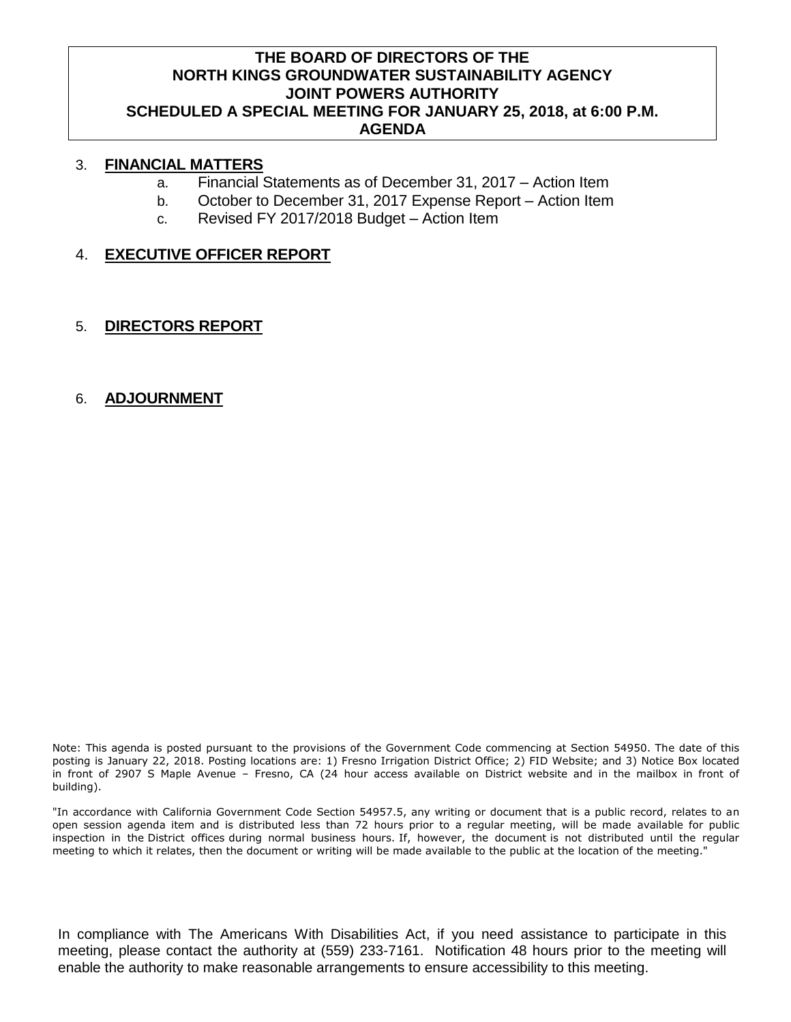# **THE BOARD OF DIRECTORS OF THE NORTH KINGS GROUNDWATER SUSTAINABILITY AGENCY JOINT POWERS AUTHORITY SCHEDULED A SPECIAL MEETING FOR JANUARY 25, 2018, at 6:00 P.M. AGENDA**

### 3. **FINANCIAL MATTERS**

- a. Financial Statements as of December 31, 2017 Action Item
- b. October to December 31, 2017 Expense Report Action Item
- c. Revised FY 2017/2018 Budget Action Item

# 4. **EXECUTIVE OFFICER REPORT**

5. **DIRECTORS REPORT**

#### 6. **ADJOURNMENT**

Note: This agenda is posted pursuant to the provisions of the Government Code commencing at Section 54950. The date of this posting is January 22, 2018. Posting locations are: 1) Fresno Irrigation District Office; 2) FID Website; and 3) Notice Box located in front of 2907 S Maple Avenue – Fresno, CA (24 hour access available on District website and in the mailbox in front of building).

"In accordance with California Government Code Section 54957.5, any writing or document that is a public record, relates to an open session agenda item and is distributed less than 72 hours prior to a regular meeting, will be made available for public inspection in the District offices during normal business hours. If, however, the document is not distributed until the regular meeting to which it relates, then the document or writing will be made available to the public at the location of the meeting."

In compliance with The Americans With Disabilities Act, if you need assistance to participate in this meeting, please contact the authority at (559) 233-7161. Notification 48 hours prior to the meeting will enable the authority to make reasonable arrangements to ensure accessibility to this meeting.